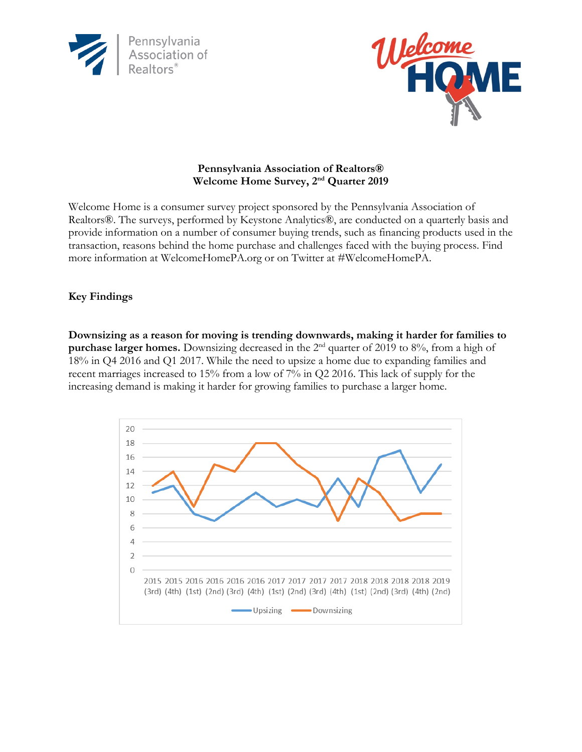



## **Pennsylvania Association of Realtors® Welcome Home Survey, 2nd Quarter 2019**

Welcome Home is a consumer survey project sponsored by the Pennsylvania Association of Realtors®. The surveys, performed by Keystone Analytics®, are conducted on a quarterly basis and provide information on a number of consumer buying trends, such as financing products used in the transaction, reasons behind the home purchase and challenges faced with the buying process. Find more information at WelcomeHomePA.org or on Twitter at #WelcomeHomePA.

## **Key Findings**

**Downsizing as a reason for moving is trending downwards, making it harder for families to purchase larger homes.** Downsizing decreased in the 2<sup>nd</sup> quarter of 2019 to 8%, from a high of 18% in Q4 2016 and Q1 2017. While the need to upsize a home due to expanding families and recent marriages increased to 15% from a low of 7% in Q2 2016. This lack of supply for the increasing demand is making it harder for growing families to purchase a larger home.

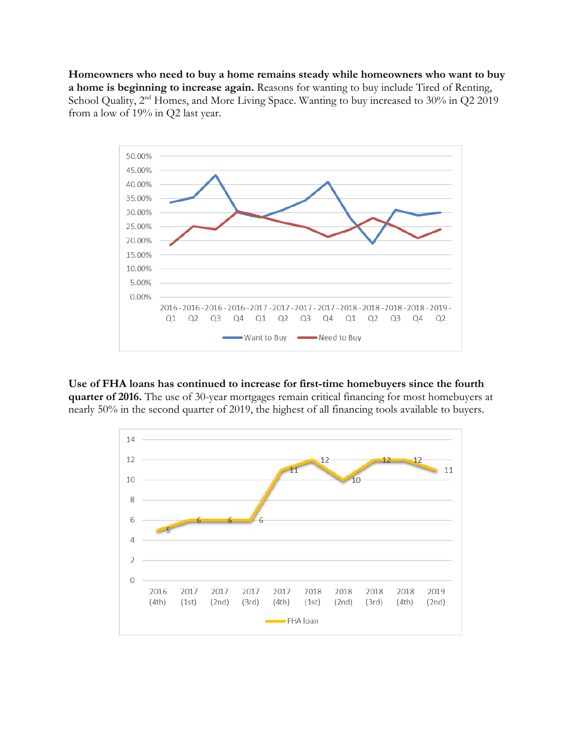**Homeowners who need to buy a home remains steady while homeowners who want to buy a home is beginning to increase again.** Reasons for wanting to buy include Tired of Renting, School Quality, 2<sup>nd</sup> Homes, and More Living Space. Wanting to buy increased to 30% in Q2 2019 from a low of 19% in Q2 last year.



**Use of FHA loans has continued to increase for first-time homebuyers since the fourth quarter of 2016.** The use of 30-year mortgages remain critical financing for most homebuyers at nearly 50% in the second quarter of 2019, the highest of all financing tools available to buyers.